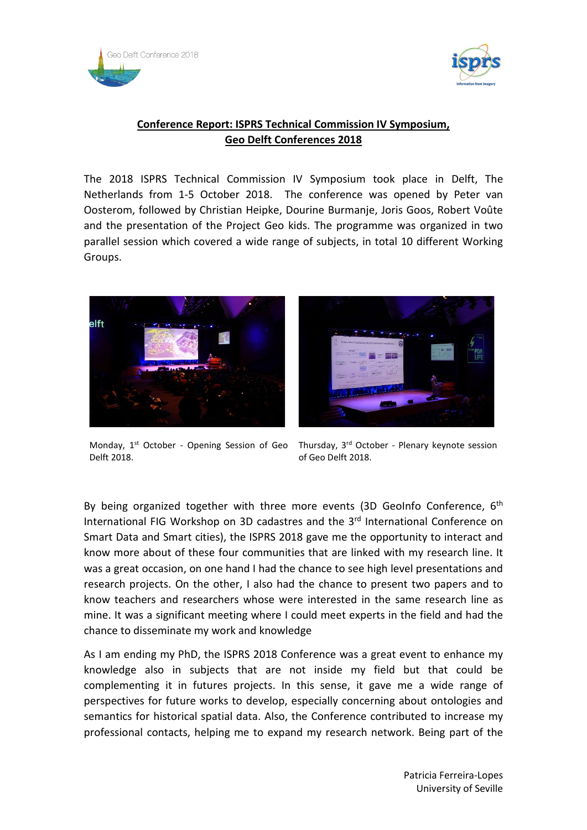



## **Conference Report: ISPRS Technical Commission IV Symposium, Geo Delft Conferences 2018**

The 2018 ISPRS Technical Commission IV Symposium took place in Delft, The Netherlands from 1-5 October 2018. The conference was opened by Peter van Oosterom, followed by Christian Heipke, Dourine Burmanje, Joris Goos, Robert Voûte and the presentation of the Project Geo kids. The programme was organized in two parallel session which covered a wide range of subjects, in total 10 different Working Groups.





Monday, 1<sup>st</sup> October - Opening Session of Geo Thursday, 3<sup>rd</sup> October - Plenary keynote session Delft 2018.

of Geo Delft 2018.

By being organized together with three more events (3D GeoInfo Conference,  $6<sup>th</sup>$ International FIG Workshop on 3D cadastres and the 3<sup>rd</sup> International Conference on Smart Data and Smart cities), the ISPRS 2018 gave me the opportunity to interact and know more about of these four communities that are linked with my research line. It was a great occasion, on one hand I had the chance to see high level presentations and research projects. On the other, I also had the chance to present two papers and to know teachers and researchers whose were interested in the same research line as mine. It was a significant meeting where I could meet experts in the field and had the chance to disseminate my work and knowledge

As I am ending my PhD, the ISPRS 2018 Conference was a great event to enhance my knowledge also in subjects that are not inside my field but that could be complementing it in futures projects. In this sense, it gave me a wide range of perspectives for future works to develop, especially concerning about ontologies and semantics for historical spatial data. Also, the Conference contributed to increase my professional contacts, helping me to expand my research network. Being part of the